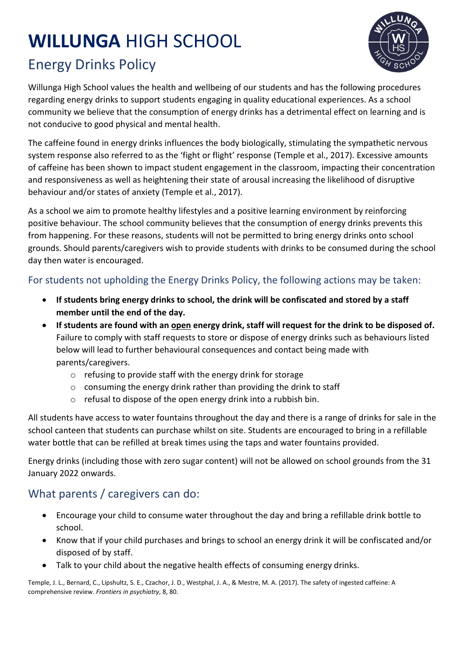# **WILLUNGA** HIGH SCHOOL



## Energy Drinks Policy

Willunga High School values the health and wellbeing of our students and has the following procedures regarding energy drinks to support students engaging in quality educational experiences. As a school community we believe that the consumption of energy drinks has a detrimental effect on learning and is not conducive to good physical and mental health.

The caffeine found in energy drinks influences the body biologically, stimulating the sympathetic nervous system response also referred to as the 'fight or flight' response (Temple et al., 2017). Excessive amounts of caffeine has been shown to impact student engagement in the classroom, impacting their concentration and responsiveness as well as heightening their state of arousal increasing the likelihood of disruptive behaviour and/or states of anxiety (Temple et al., 2017).

As a school we aim to promote healthy lifestyles and a positive learning environment by reinforcing positive behaviour. The school community believes that the consumption of energy drinks prevents this from happening. For these reasons, students will not be permitted to bring energy drinks onto school grounds. Should parents/caregivers wish to provide students with drinks to be consumed during the school day then water is encouraged.

#### For students not upholding the Energy Drinks Policy, the following actions may be taken:

- **If students bring energy drinks to school, the drink will be confiscated and stored by a staff member until the end of the day.**
- **If students are found with an open energy drink, staff will request for the drink to be disposed of.** Failure to comply with staff requests to store or dispose of energy drinks such as behaviours listed below will lead to further behavioural consequences and contact being made with parents/caregivers.
	- o refusing to provide staff with the energy drink for storage
	- $\circ$  consuming the energy drink rather than providing the drink to staff
	- o refusal to dispose of the open energy drink into a rubbish bin.

All students have access to water fountains throughout the day and there is a range of drinks for sale in the school canteen that students can purchase whilst on site. Students are encouraged to bring in a refillable water bottle that can be refilled at break times using the taps and water fountains provided.

Energy drinks (including those with zero sugar content) will not be allowed on school grounds from the 31 January 2022 onwards.

### What parents / caregivers can do:

- Encourage your child to consume water throughout the day and bring a refillable drink bottle to school.
- Know that if your child purchases and brings to school an energy drink it will be confiscated and/or disposed of by staff.
- Talk to your child about the negative health effects of consuming energy drinks.

Temple, J. L., Bernard, C., Lipshultz, S. E., Czachor, J. D., Westphal, J. A., & Mestre, M. A. (2017). The safety of ingested caffeine: A comprehensive review. *Frontiers in psychiatry*, 8, 80.